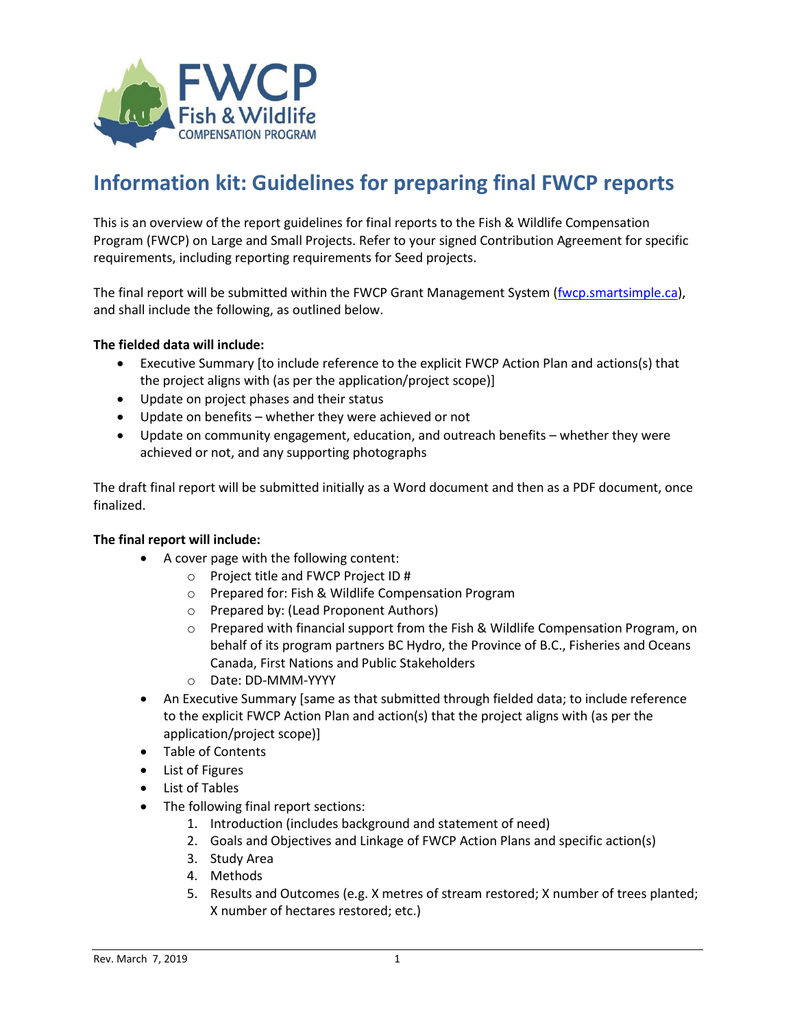

## **Information kit: Guidelines for preparing final FWCP reports**

This is an overview of the report guidelines for final reports to the Fish & Wildlife Compensation Program (FWCP) on Large and Small Projects. Refer to your signed Contribution Agreement for specific requirements, including reporting requirements for Seed projects.

The final report will be submitted within the FWCP Grant Management System [\(fwcp.smartsimple.ca\)](https://fwcp.smartsimple.ca/), and shall include the following, as outlined below.

## **The fielded data will include:**

- Executive Summary [to include reference to the explicit FWCP Action Plan and actions(s) that the project aligns with (as per the application/project scope)]
- Update on project phases and their status
- Update on benefits whether they were achieved or not
- Update on community engagement, education, and outreach benefits whether they were achieved or not, and any supporting photographs

The draft final report will be submitted initially as a Word document and then as a PDF document, once finalized.

## **The final report will include:**

- A cover page with the following content:
	- o Project title and FWCP Project ID #
	- o Prepared for: Fish & Wildlife Compensation Program
	- o Prepared by: (Lead Proponent Authors)
	- $\circ$  Prepared with financial support from the Fish & Wildlife Compensation Program, on behalf of its program partners BC Hydro, the Province of B.C., Fisheries and Oceans Canada, First Nations and Public Stakeholders
	- o Date: DD-MMM-YYYY
- An Executive Summary [same as that submitted through fielded data; to include reference to the explicit FWCP Action Plan and action(s) that the project aligns with (as per the application/project scope)]
- Table of Contents
- List of Figures
- List of Tables
- The following final report sections:
	- 1. Introduction (includes background and statement of need)
	- 2. Goals and Objectives and Linkage of FWCP Action Plans and specific action(s)
	- 3. Study Area
	- 4. Methods
	- 5. Results and Outcomes (e.g. X metres of stream restored; X number of trees planted; X number of hectares restored; etc.)